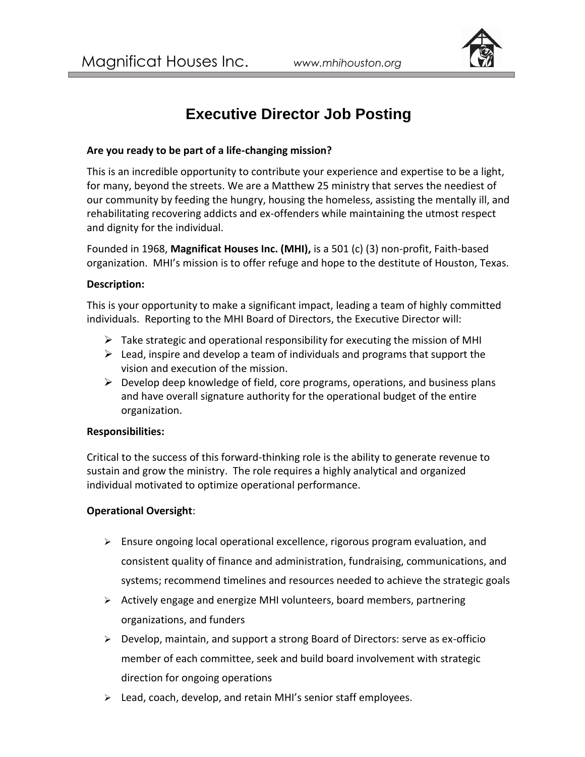

# **Executive Director Job Posting**

# **Are you ready to be part of a life-changing mission?**

This is an incredible opportunity to contribute your experience and expertise to be a light, for many, beyond the streets. We are a Matthew 25 ministry that serves the neediest of our community by feeding the hungry, housing the homeless, assisting the mentally ill, and rehabilitating recovering addicts and ex-offenders while maintaining the utmost respect and dignity for the individual.

Founded in 1968, **Magnificat Houses Inc. (MHI),** is a 501 (c) (3) non-profit, Faith-based organization. MHI's mission is to offer refuge and hope to the destitute of Houston, Texas.

#### **Description:**

This is your opportunity to make a significant impact, leading a team of highly committed individuals. Reporting to the MHI Board of Directors, the Executive Director will:

- $\triangleright$  Take strategic and operational responsibility for executing the mission of MHI
- $\triangleright$  Lead, inspire and develop a team of individuals and programs that support the vision and execution of the mission.
- $\triangleright$  Develop deep knowledge of field, core programs, operations, and business plans and have overall signature authority for the operational budget of the entire organization.

#### **Responsibilities:**

Critical to the success of this forward-thinking role is the ability to generate revenue to sustain and grow the ministry. The role requires a highly analytical and organized individual motivated to optimize operational performance.

# **Operational Oversight**:

- $\triangleright$  Ensure ongoing local operational excellence, rigorous program evaluation, and consistent quality of finance and administration, fundraising, communications, and systems; recommend timelines and resources needed to achieve the strategic goals
- $\triangleright$  Actively engage and energize MHI volunteers, board members, partnering organizations, and funders
- ➢ Develop, maintain, and support a strong Board of Directors: serve as ex-officio member of each committee, seek and build board involvement with strategic direction for ongoing operations
- ➢ Lead, coach, develop, and retain MHI's senior staff employees.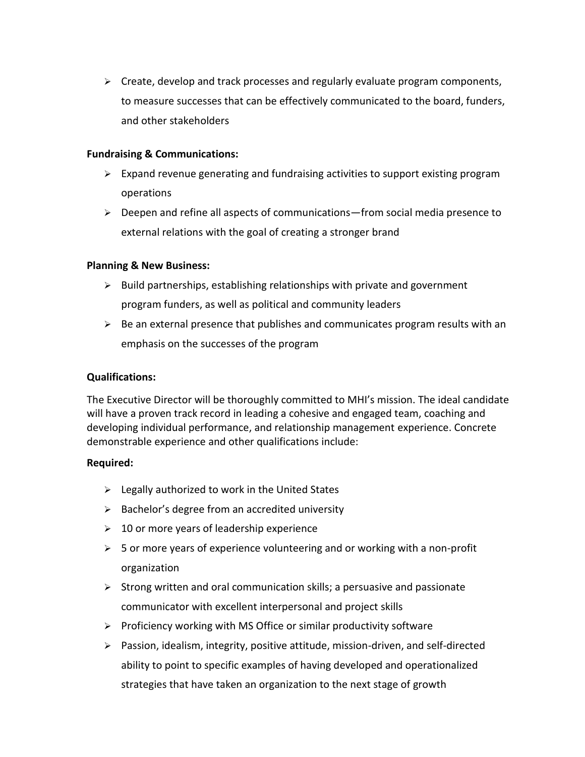➢ Create, develop and track processes and regularly evaluate program components, to measure successes that can be effectively communicated to the board, funders, and other stakeholders

### **Fundraising & Communications:**

- $\triangleright$  Expand revenue generating and fundraising activities to support existing program operations
- $\triangleright$  Deepen and refine all aspects of communications—from social media presence to external relations with the goal of creating a stronger brand

# **Planning & New Business:**

- $\triangleright$  Build partnerships, establishing relationships with private and government program funders, as well as political and community leaders
- $\triangleright$  Be an external presence that publishes and communicates program results with an emphasis on the successes of the program

# **Qualifications:**

The Executive Director will be thoroughly committed to MHI's mission. The ideal candidate will have a proven track record in leading a cohesive and engaged team, coaching and developing individual performance, and relationship management experience. Concrete demonstrable experience and other qualifications include:

#### **Required:**

- $\triangleright$  Legally authorized to work in the United States
- ➢ Bachelor's degree from an accredited university
- $\geq 10$  or more years of leadership experience
- $\triangleright$  5 or more years of experience volunteering and or working with a non-profit organization
- $\triangleright$  Strong written and oral communication skills; a persuasive and passionate communicator with excellent interpersonal and project skills
- ➢ Proficiency working with MS Office or similar productivity software
- ➢ Passion, idealism, integrity, positive attitude, mission-driven, and self-directed ability to point to specific examples of having developed and operationalized strategies that have taken an organization to the next stage of growth